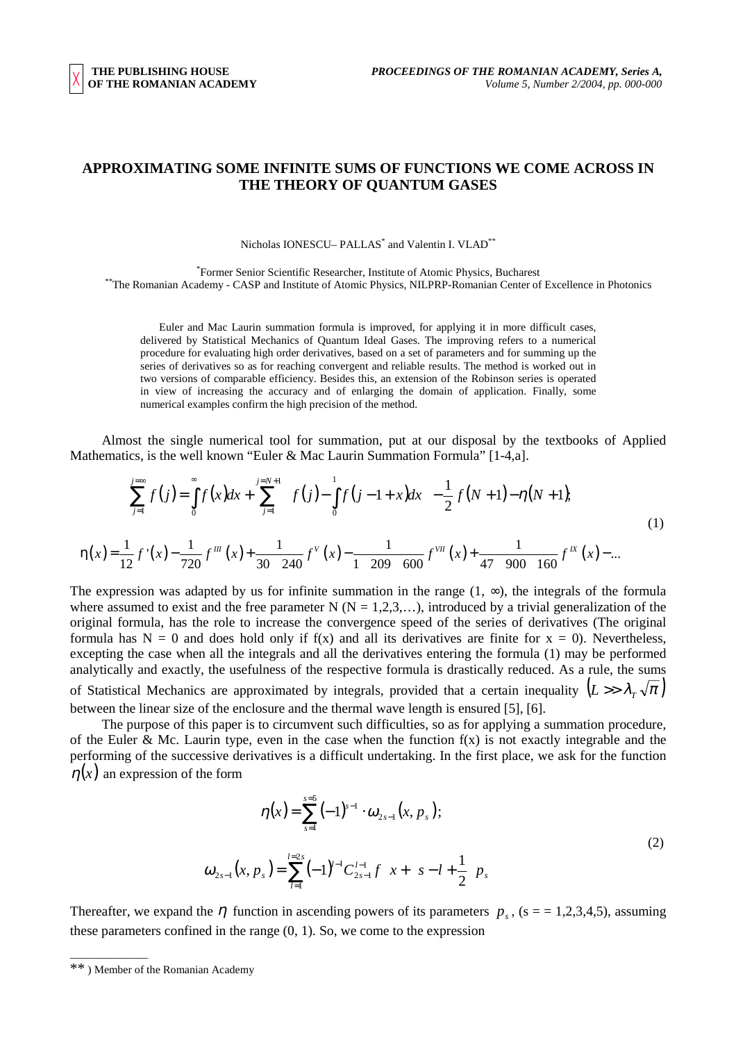## **APPROXIMATING SOME INFINITE SUMS OF FUNCTIONS WE COME ACROSS IN THE THEORY OF QUANTUM GASES**

Nicholas IONESCU- PALLAS<sup>\*</sup> and Valentin I. VLAD<sup>\*\*</sup>

<sup>\*</sup>Former Senior Scientific Researcher, Institute of Atomic Physics, Bucharest \*\*The Romanian Academy - CASP and Institute of Atomic Physics, NILPRP-Romanian Center of Excellence in Photonics

Euler and Mac Laurin summation formula is improved, for applying it in more difficult cases, delivered by Statistical Mechanics of Quantum Ideal Gases. The improving refers to a numerical procedure for evaluating high order derivatives, based on a set of parameters and for summing up the series of derivatives so as for reaching convergent and reliable results. The method is worked out in two versions of comparable efficiency. Besides this, an extension of the Robinson series is operated in view of increasing the accuracy and of enlarging the domain of application. Finally, some numerical examples confirm the high precision of the method.

Almost the single numerical tool for summation, put at our disposal by the textbooks of Applied Mathematics, is the well known "Euler & Mac Laurin Summation Formula" [1-4,a].

$$
\sum_{j=1}^{j=\infty} f(j) = \int_{0}^{\infty} f(x) dx + \sum_{j=1}^{j=N+1} \left\{ f(j) - \int_{0}^{1} f(j-1+x) dx \right\} - \frac{1}{2} f(N+1) - \eta(N+1),\tag{1}
$$

$$
\eta(x) = \frac{1}{12} f'(x) - \frac{1}{720} f'''(x) + \frac{1}{30 - 240} f^{V}(x) - \frac{1}{1 - 209 - 600} f^{VII}(x) + \frac{1}{47 - 900 - 160} f^{IV}(x) - \dots
$$

The expression was adapted by us for infinite summation in the range  $(1, \infty)$ , the integrals of the formula where assumed to exist and the free parameter N ( $N = 1,2,3,...$ ), introduced by a trivial generalization of the original formula, has the role to increase the convergence speed of the series of derivatives (The original formula has  $N = 0$  and does hold only if  $f(x)$  and all its derivatives are finite for  $x = 0$ ). Nevertheless, excepting the case when all the integrals and all the derivatives entering the formula (1) may be performed analytically and exactly, the usefulness of the respective formula is drastically reduced. As a rule, the sums of Statistical Mechanics are approximated by integrals, provided that a certain inequality  $(L \gg \lambda_\tau \sqrt{\pi})$ between the linear size of the enclosure and the thermal wave length is ensured [5], [6].

The purpose of this paper is to circumvent such difficulties, so as for applying a summation procedure, of the Euler & Mc. Laurin type, even in the case when the function  $f(x)$  is not exactly integrable and the performing of the successive derivatives is a difficult undertaking. In the first place, we ask for the function  $\eta(x)$  an expression of the form

$$
\eta(x) = \sum_{s=1}^{s=5} (-1)^{s-1} \cdot \omega_{2s-1}(x, p_s);
$$
  

$$
\omega_{2s-1}(x, p_s) = \sum_{l=1}^{l=2s} (-1)^{l-1} C_{2s-1}^{l-1} f\left[x + \left(s - l + \frac{1}{2}\right) p_s\right]
$$
 (2)

Thereafter, we expand the  $\eta$  function in ascending powers of its parameters  $p_s$ , (s = = 1,2,3,4,5), assuming these parameters confined in the range (0, 1). So, we come to the expression

\_\_\_\_\_\_\_\_\_\_\_\_\_\_

<sup>\*\* )</sup> Member of the Romanian Academy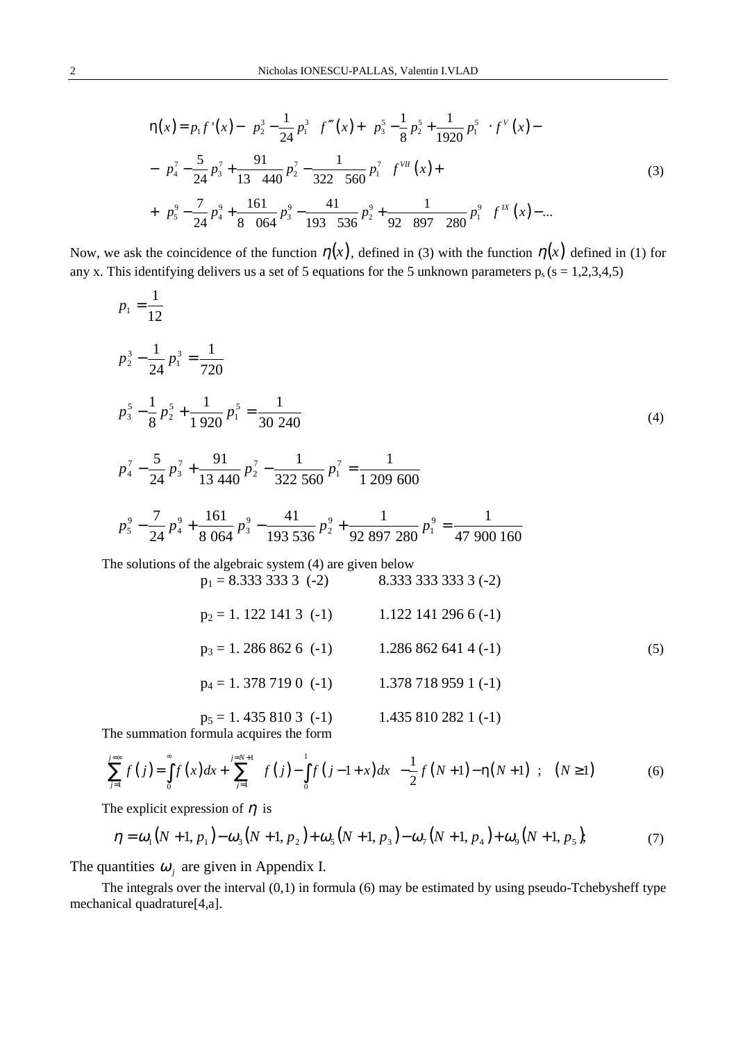$$
\eta(x) = p_1 f'(x) - \left(p_2^3 - \frac{1}{24}p_1^3\right) f'''(x) + \left(p_3^5 - \frac{1}{8}p_2^5 + \frac{1}{1920}p_1^5\right) f^{V}(x) -
$$

$$
-\left(p_4^7 - \frac{5}{24}p_3^7 + \frac{91}{13\ 440}p_2^7 - \frac{1}{322\ 560}p_1^7\right) f^{VII}(x) +
$$

$$
+\left(p_5^9 - \frac{7}{24}p_4^9 + \frac{161}{8\ 064}p_3^9 - \frac{41}{193\ 536}p_2^9 + \frac{1}{92\ 897\ 280}p_1^9\right) f^{VX}(x) - ...
$$

$$
(3)
$$

Now, we ask the coincidence of the function  $\eta(x)$ , defined in (3) with the function  $\eta(x)$  defined in (1) for any x. This identifying delivers us a set of 5 equations for the 5 unknown parameters  $p_s$  (s = 1,2,3,4,5)

$$
p_1 = \frac{1}{12}
$$
  
\n
$$
p_2^3 - \frac{1}{24} p_1^3 = \frac{1}{720}
$$
  
\n
$$
p_3^5 - \frac{1}{8} p_2^5 + \frac{1}{1920} p_1^5 = \frac{1}{30240}
$$
  
\n
$$
p_4^7 - \frac{5}{24} p_3^7 + \frac{91}{13440} p_2^7 - \frac{1}{322560} p_1^7 = \frac{1}{1209600}
$$
  
\n
$$
p_5^9 - \frac{7}{24} p_4^9 + \frac{161}{8064} p_3^9 - \frac{41}{193536} p_2^9 + \frac{1}{92897280} p_1^9 = \frac{1}{47900160}
$$
  
\nThe solutions of the algebraic system (4) are given below

 $p_1 = 8.333\,333\,3 \cdot (-2)$  8.333 333 333 3 (-2)

$$
p_2 = 1.1221413(-1)
$$
  
\n
$$
p_3 = 1.2868626(-1)
$$
  
\n
$$
p_4 = 1.3787190(-1)
$$
  
\n
$$
p_5 = 1.2868626(1)
$$
  
\n
$$
p_6 = 1.3787190(-1)
$$
  
\n
$$
p_7 = 1.2868626414(-1)
$$
  
\n
$$
p_8 = 1.2868626414(-1)
$$
  
\n
$$
p_9 = 1.2868626414(-1)
$$
  
\n
$$
p_1 = 1.2868626414(-1)
$$
  
\n
$$
p_2 = 1.2868626414(-1)
$$
  
\n
$$
p_3 = 1.2868626414(-1)
$$
  
\n
$$
p_4 = 1.2868626414(-1)
$$
  
\n
$$
p_5 = 1.2868626414(-1)
$$
  
\n
$$
p_6 = 1.2868626414(-1)
$$
  
\n
$$
p_7 = 1.2868626414(-1)
$$
  
\n
$$
p_8 = 1.2868626414(-1)
$$
  
\n
$$
p_9 = 1.2868626414(-1)
$$
  
\n
$$
p_9 = 1.2868626414(-1)
$$
  
\n
$$
p_9 = 1.2868626414(-1)
$$
  
\n
$$
p_9 = 1.2868626414(-1)
$$
  
\n
$$
p_9 = 1.2868626414(-1)
$$
  
\n
$$
p_9 = 1.2868626414(-1)
$$
  
\n
$$
p_9 = 1.2868626414(-1)
$$
  
\n
$$
p_9 = 1.2868626414(-1)
$$
  
\n
$$
p_9 = 1.2868626414(-1)
$$
  
\n<math display="block</math>

 $p_5 = 1.4358103(-1)$  1.435 810 282 1 (-1) The summation formula acquires the form

$$
\sum_{j=1}^{j=\infty} f(j) = \int_{0}^{\infty} f(x) dx + \sum_{j=1}^{j=N+1} \left\{ f(j) - \int_{0}^{1} f(j-1+x) dx \right\} - \frac{1}{2} f(N+1) - \eta(N+1) \quad ; \quad (N \ge 1)
$$

The explicit expression of  $\eta$  is

$$
\eta = \omega_1 (N+1, p_1) - \omega_3 (N+1, p_2) + \omega_5 (N+1, p_3) - \omega_7 (N+1, p_4) + \omega_9 (N+1, p_5),
$$
\n(7)

The quantities  $\omega_i$  are given in Appendix I.

The integrals over the interval (0,1) in formula (6) may be estimated by using pseudo-Tchebysheff type mechanical quadrature[4,a].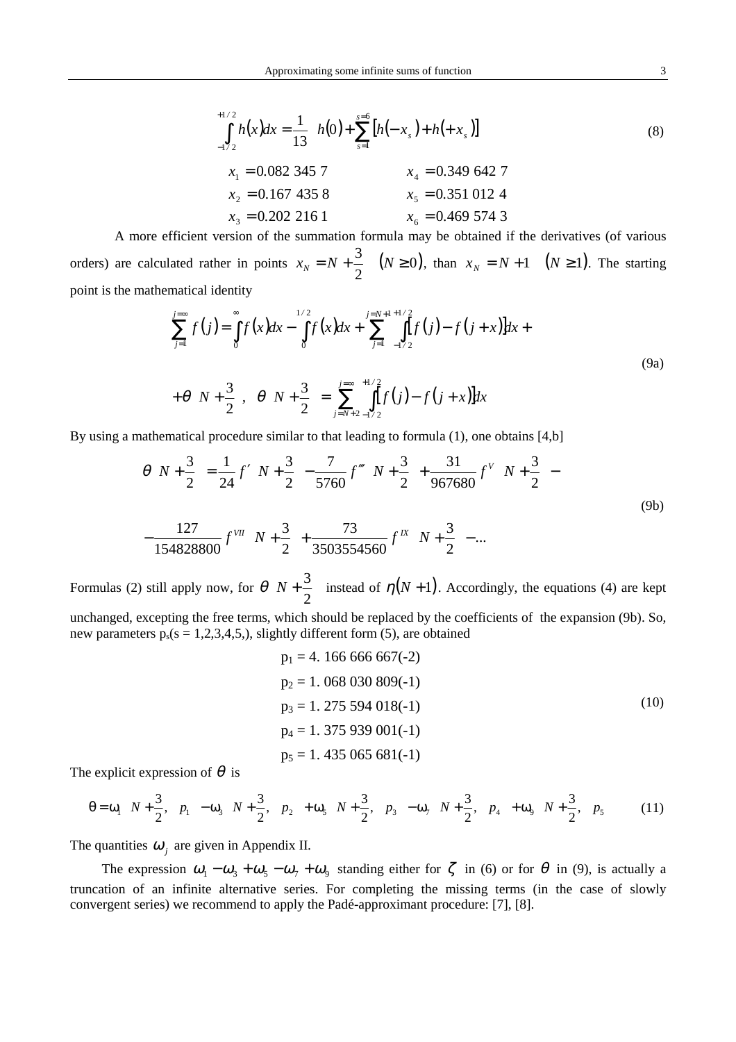$$
\int_{-1/2}^{+1/2} h(x)dx = \frac{1}{13} \left\{ h(0) + \sum_{s=1}^{s=6} [h(-x_s) + h(x_s)] \right\}
$$
  
\n
$$
x_1 = 0.082 \ 345 \ 7 \qquad x_4 = 0.349 \ 642 \ 7
$$
  
\n
$$
x_2 = 0.167 \ 435 \ 8 \qquad x_5 = 0.351 \ 012 \ 4
$$
  
\n
$$
x_3 = 0.202 \ 216 \ 1 \qquad x_6 = 0.469 \ 574 \ 3
$$
\n(8)

A more efficient version of the summation formula may be obtained if the derivatives (of various orders) are calculated rather in points  $x_N = N + \frac{3}{2}$   $(N \ge 0)$ 2  $x_N = N + \frac{3}{2}$  ( $N \ge 0$ ), than  $x_N = N + 1$  ( $N \ge 1$ ). The starting point is the mathematical identity

$$
\sum_{j=1}^{j=\infty} f(j) = \int_{0}^{\infty} f(x)dx - \int_{0}^{1/2} f(x)dx + \sum_{j=1}^{j=N+1} \int_{-1/2}^{1/2} [f(j) - f(j+x)]dx +
$$
  
+  $\theta \left( N + \frac{3}{2} \right) \theta \left( N + \frac{3}{2} \right) = \sum_{j=N+2}^{j=\infty} \int_{-1/2}^{1/2} [f(j) - f(j+x)]dx$   
matically procedure similar to that leading to formula (1), one obtains [4 b]

By using a mathematical procedure similar to that leading to formula (1), one obtains [4,b]

$$
\theta\left(N+\frac{3}{2}\right) = \frac{1}{24}f\left(N+\frac{3}{2}\right) - \frac{7}{5760}f''\left(N+\frac{3}{2}\right) + \frac{31}{967680}f^{v}\left(N+\frac{3}{2}\right) - \frac{127}{154828800}f^{vu}\left(N+\frac{3}{2}\right) + \frac{73}{3503554560}f^{ux}\left(N+\frac{3}{2}\right) - \dots
$$
\n(9b)

Formulas (2) still apply now, for  $\theta \mid N + \frac{3}{2}$  $\overline{\phantom{a}}$  $\left(N+\frac{3}{2}\right)$ l  $\bigg\lceil N +$ 2  $\theta \left( N + \frac{3}{2} \right)$  instead of  $\eta (N + 1)$ . Accordingly, the equations (4) are kept

unchanged, excepting the free terms, which should be replaced by the coefficients of the expansion (9b). So, new parameters  $p_s(s = 1,2,3,4,5)$ , slightly different form (5), are obtained

$$
p_1 = 4.166 666 667(-2)
$$
  
\n
$$
p_2 = 1.068 030 809(-1)
$$
  
\n
$$
p_3 = 1.275 594 018(-1)
$$
  
\n
$$
p_4 = 1.375 939 001(-1)
$$
  
\n
$$
p_5 = 1.435 065 681(-1)
$$
 (10)

The explicit expression of  $\theta$  is

$$
\theta = \omega_1 \left( N + \frac{3}{2}, \quad p_1 \right) - \omega_3 \left( N + \frac{3}{2}, \quad p_2 \right) + \omega_5 \left( N + \frac{3}{2}, \quad p_3 \right) - \omega_7 \left( N + \frac{3}{2}, \quad p_4 \right) + \omega_9 \left( N + \frac{3}{2}, \quad p_5 \right) \tag{11}
$$

The quantities  $\omega_i$  are given in Appendix II.

The expression  $\omega_1 - \omega_3 + \omega_5 - \omega_7 + \omega_9$  standing either for  $\zeta$  in (6) or for  $\theta$  in (9), is actually a truncation of an infinite alternative series. For completing the missing terms (in the case of slowly convergent series) we recommend to apply the Padé-approximant procedure: [7], [8].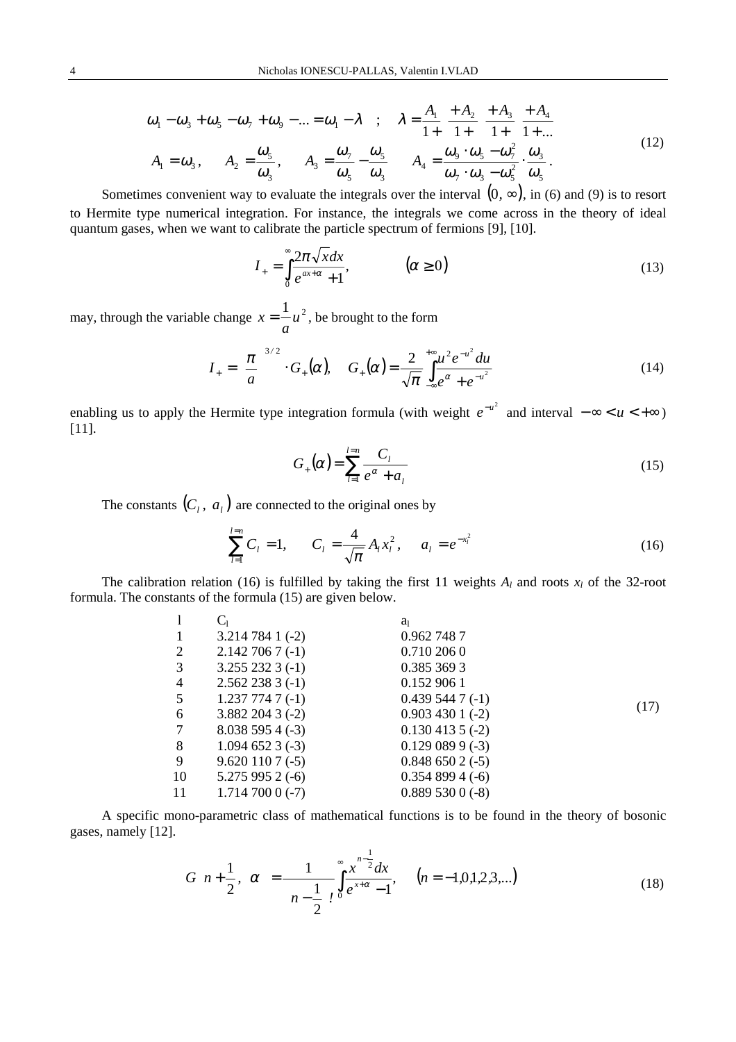$$
\omega_1 - \omega_3 + \omega_5 - \omega_7 + \omega_9 - \dots = \omega_1 - \lambda \quad ; \quad \lambda = \frac{A_1}{1 +} \frac{A_2}{1 +} \frac{A_3}{1 +} \frac{A_4}{1 +} \nA_1 = \omega_3, \qquad A_2 = \frac{\omega_5}{\omega_3}, \qquad A_3 = \frac{\omega_7}{\omega_5} - \frac{\omega_5}{\omega_3} \qquad A_4 = \frac{\omega_9 \cdot \omega_5 - \omega_7^2}{\omega_7 \cdot \omega_3 - \omega_5^2} \cdot \frac{\omega_3}{\omega_5}.
$$
\n(12)

Sometimes convenient way to evaluate the integrals over the interval  $(0, \infty)$ , in (6) and (9) is to resort to Hermite type numerical integration. For instance, the integrals we come across in the theory of ideal quantum gases, when we want to calibrate the particle spectrum of fermions [9], [10].

$$
I_{+} = \int_{0}^{\infty} \frac{2\pi\sqrt{x}dx}{e^{ax+\alpha}+1}, \qquad (\alpha \ge 0)
$$
 (13)

may, through the variable change  $x = \frac{1}{u^2}$ *a*  $x = -u^2$ , be brought to the form

$$
I_{+} = \left(\frac{\pi}{a}\right)^{3/2} \cdot G_{+}(\alpha), \quad G_{+}(\alpha) = \frac{2}{\sqrt{\pi}} \int_{-\infty}^{+\infty} \frac{u^{2} e^{-u^{2}} du}{e^{\alpha} + e^{-u^{2}}} \tag{14}
$$

enabling us to apply the Hermite type integration formula (with weight  $e^{-u^2}$  and interval  $-\infty < u < +\infty$ ) [11].

$$
G_{+}(\alpha) = \sum_{l=1}^{l=n} \frac{C_l}{e^{\alpha} + a_l}
$$
\n(15)

The constants  $(C_l, a_l)$  are connected to the original ones by

$$
\sum_{l=1}^{l=n} C_l = 1, \qquad C_l = \frac{4}{\sqrt{\pi}} A_l x_l^2, \qquad a_l = e^{-x_l^2}
$$
 (16)

The calibration relation (16) is fulfilled by taking the first 11 weights  $A_l$  and roots  $x_l$  of the 32-root formula. The constants of the formula (15) are given below.

l Cl al 1 3.214 784 1 (-2) 0.962 748 7 2 2.142 706 7 (-1) 0.710 206 0 3 3.255 232 3 (-1) 0.385 369 3 4 2.562 238 3 (-1) 0.152 906 1 5 1.237 774 7 (-1) 0.439 544 7 (-1) 6 3.882 204 3 (-2) 0.903 430 1 (-2) 7 8.038 595 4 (-3) 0.130 413 5 (-2) 8 1.094 652 3 (-3) 0.129 089 9 (-3) 9 9.620 110 7 (-5) 0.848 650 2 (-5) 10 5.275 995 2 (-6) 0.354 899 4 (-6) 11 1.714 700 0 (-7) 0.889 530 0 (-8) (17)

A specific mono-parametric class of mathematical functions is to be found in the theory of bosonic gases, namely [12].

$$
G\left(n+\frac{1}{2}, \alpha\right) = \frac{1}{\left(n-\frac{1}{2}\right)} \int_{0}^{\infty} \frac{x^{n-\frac{1}{2}} dx}{e^{x+\alpha} - 1}, \quad (n = -1, 0, 1, 2, 3, ...)
$$
 (18)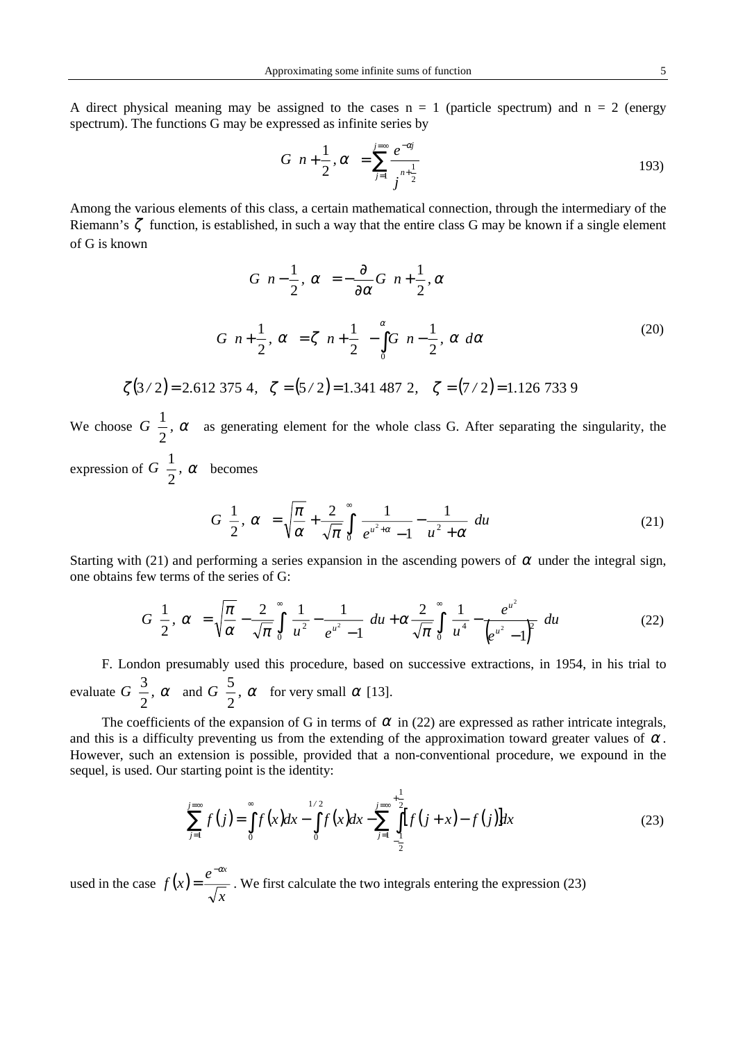A direct physical meaning may be assigned to the cases  $n = 1$  (particle spectrum) and  $n = 2$  (energy spectrum). The functions G may be expressed as infinite series by

$$
G\left(n+\frac{1}{2},\alpha\right) = \sum_{j=1}^{j=\infty} \frac{e^{-\alpha j}}{j^{n+\frac{1}{2}}}
$$
 (193)

Among the various elements of this class, a certain mathematical connection, through the intermediary of the Riemann's  $\zeta$  function, is established, in such a way that the entire class G may be known if a single element of G is known

$$
G\left(n-\frac{1}{2}, \alpha\right) = -\frac{\partial}{\partial \alpha}G\left(n+\frac{1}{2}, \alpha\right)
$$

$$
G\left(n+\frac{1}{2}, \alpha\right) = \zeta\left(n+\frac{1}{2}\right) - \int_{0}^{\alpha} G\left(n-\frac{1}{2}, \alpha\right) d\alpha
$$
(20)

$$
\zeta(3/2) = 2.612\,375\,4
$$
,  $\zeta = (5/2) = 1.341\,487\,2$ ,  $\zeta = (7/2) = 1.126\,733\,9$ 

We choose  $G(\frac{1}{2}, \alpha)$  $\bigg)$  $\left(\frac{1}{2}, \alpha\right)$ l  $G\left(\frac{1}{2}, \alpha\right)$ 2  $\left(\frac{1}{2}, \alpha\right)$  as generating element for the whole class G. After separating the singularity, the expression of  $G(\frac{1}{2}, \alpha)$  $\overline{1}$  $\left(\frac{1}{2}, \alpha\right)$ l  $G\left(\frac{1}{\epsilon}, \alpha\right)$ 2  $\left(\frac{1}{2}, \alpha\right)$  becomes

$$
G\left(\frac{1}{2}, \alpha\right) = \sqrt{\frac{\pi}{\alpha}} + \frac{2}{\sqrt{\pi}} \int_{0}^{\infty} \left\{ \frac{1}{e^{u^2 + \alpha} - 1} - \frac{1}{u^2 + \alpha} \right\} du
$$
 (21)

Starting with (21) and performing a series expansion in the ascending powers of  $\alpha$  under the integral sign, one obtains few terms of the series of G:

$$
G\left(\frac{1}{2}, \alpha\right) = \sqrt{\frac{\pi}{\alpha}} - \frac{2}{\sqrt{\pi}} \int_{0}^{\infty} \left\{\frac{1}{u^2} - \frac{1}{e^{u^2} - 1}\right\} du + \alpha \frac{2}{\sqrt{\pi}} \int_{0}^{\infty} \left\{\frac{1}{u^4} - \frac{e^{u^2}}{\left(e^{u^2} - 1\right)^2}\right\} du
$$
 (22)

F. London presumably used this procedure, based on successive extractions, in 1954, in his trial to evaluate  $G\left[\frac{3}{2}, \alpha\right]$  $\overline{\phantom{a}}$  $\left(\frac{3}{2}, \alpha\right)$ l  $G\left(\frac{3}{2}, \alpha\right)$  $\left(\frac{3}{2}, \alpha\right)$  and  $G\left(\frac{5}{2}, \alpha\right)$  $\overline{1}$  $\left(\frac{5}{2}, \alpha\right)$ l  $G\left(\frac{5}{6}, \alpha\right)$ 2  $\left[\frac{5}{2}, \alpha\right]$  for very small  $\alpha$  [13].

The coefficients of the expansion of G in terms of  $\alpha$  in (22) are expressed as rather intricate integrals, and this is a difficulty preventing us from the extending of the approximation toward greater values of  $\alpha$ . However, such an extension is possible, provided that a non-conventional procedure, we expound in the sequel, is used. Our starting point is the identity:

$$
\sum_{j=1}^{j=\infty} f(j) = \int_{0}^{\infty} f(x)dx - \int_{0}^{1/2} f(x)dx - \sum_{j=1}^{j=\infty} \int_{-\frac{1}{2}}^{\frac{1}{2}} [f(j+x) - f(j)]dx
$$
\n(23)

used in the case  $f(x)$ *x*  $f(x) = \frac{e^{-\alpha x}}{x}$  $=\frac{c}{\sqrt{2}}$ . We first calculate the two integrals entering the expression (23)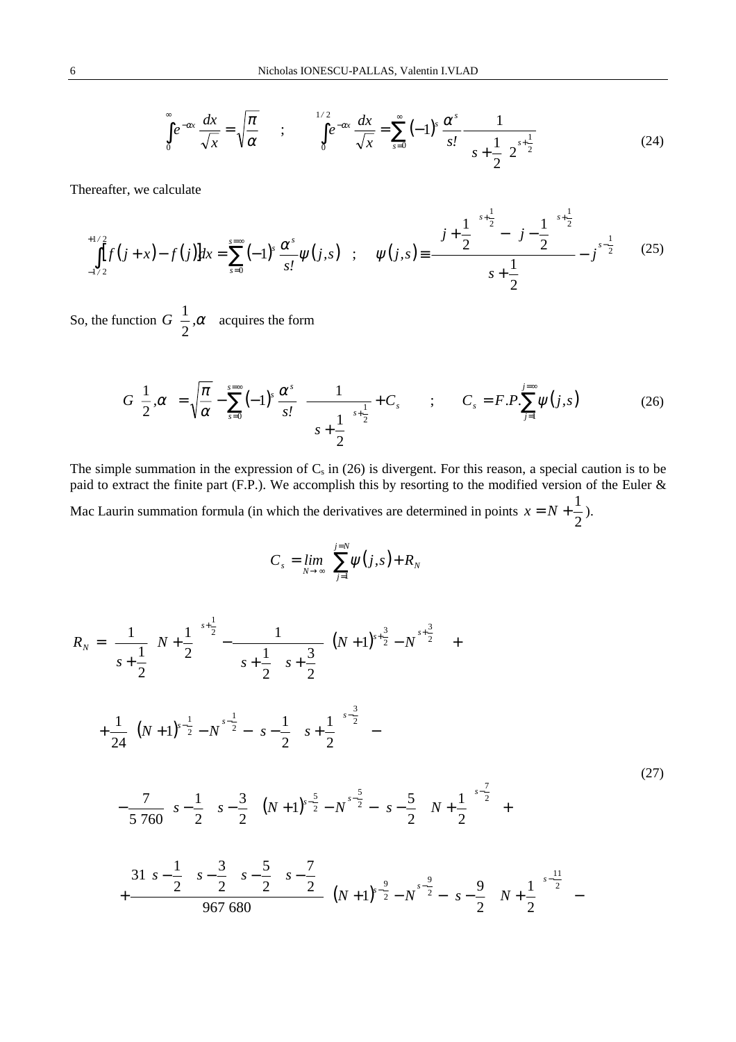$$
\int_{0}^{\infty} e^{-\alpha x} \frac{dx}{\sqrt{x}} = \sqrt{\frac{\pi}{\alpha}} \qquad ; \qquad \int_{0}^{1/2} e^{-\alpha x} \frac{dx}{\sqrt{x}} = \sum_{s=0}^{\infty} (-1)^{s} \frac{\alpha^{s}}{s!} \frac{1}{\left(s + \frac{1}{2}\right) z^{s + \frac{1}{2}}}
$$
(24)

Thereafter, we calculate

$$
\iint_{-1/2}^{+1/2} f(j+x) - f(j) dx = \sum_{s=0}^{s=\infty} (-1)^s \frac{\alpha^s}{s!} \psi(j,s) \quad ; \quad \psi(j,s) = \frac{\left(j+\frac{1}{2}\right)^{s+\frac{1}{2}} - \left(j-\frac{1}{2}\right)^{s+\frac{1}{2}}}{s+\frac{1}{2}} - j^{s-\frac{1}{2}} \tag{25}
$$

So, the function  $G\left[\frac{1}{2}, \alpha\right]$  $\overline{\phantom{a}}$  $\left(\frac{1}{2},\alpha\right)$ l  $G\left(\frac{1}{2},\alpha\right)$ 2  $\left(\frac{1}{2}, \alpha\right)$  acquires the form

$$
G\left(\frac{1}{2},\alpha\right) = \sqrt{\frac{\pi}{\alpha}} - \sum_{s=0}^{s=\infty} (-1)^s \frac{\alpha^s}{s!} \left\{ \frac{1}{\left(s + \frac{1}{2}\right)^{s + \frac{1}{2}}} + C_s \right\} ; \qquad C_s = F.P. \sum_{j=1}^{j=\infty} \psi(j,s) \tag{26}
$$

The simple summation in the expression of  $C_s$  in (26) is divergent. For this reason, a special caution is to be paid to extract the finite part (F.P.). We accomplish this by resorting to the modified version of the Euler & Mac Laurin summation formula (in which the derivatives are determined in points  $x = N + \frac{2}{2}$  $x = N + \frac{1}{2}$ .

$$
C_{s} = \lim_{N \to \infty} \left\{ \sum_{j=1}^{j=N} \psi(j,s) + R_{N} \right\}
$$
  
\n
$$
R_{N} = \left\{ \frac{1}{s + \frac{1}{2}} \left( N + \frac{1}{2} \right)^{s + \frac{1}{2}} - \frac{1}{\left( s + \frac{1}{2} \right) \left( s + \frac{3}{2} \right)} \left[ (N + 1)^{s + \frac{3}{2}} - N^{s + \frac{3}{2}} \right] \right\} + \frac{1}{24} \left\{ (N + 1)^{s - \frac{1}{2}} - N^{s - \frac{1}{2}} - \left( s - \frac{1}{2} \right) \left( s + \frac{1}{2} \right)^{s - \frac{3}{2}} \right\} - \frac{7}{5760} \left( s - \frac{1}{2} \right) \left( s - \frac{3}{2} \right) \left( N + 1 \right)^{s - \frac{5}{2}} - N^{s - \frac{5}{2}} - \left( s - \frac{5}{2} \right) \left( N + \frac{1}{2} \right)^{s - \frac{7}{2}} \right\} + \frac{31 \left( s - \frac{1}{2} \right) \left( s - \frac{3}{2} \right) \left( s - \frac{5}{2} \right) \left( s - \frac{7}{2} \right) \left( (N + 1)^{s - \frac{3}{2}} - N^{s - \frac{3}{2}} - \left( s - \frac{9}{2} \right) \left( N + \frac{1}{2} \right)^{s - \frac{11}{2}} \right\} - \frac{31 \left( s - \frac{1}{2} \right) \left( s - \frac{3}{2} \right) \left( s - \frac{5}{2} \right) \left( N + \frac{1}{2} \right)^{s - \frac{11}{2}} \right\} - \frac{31 \left( s - \frac{1}{2} \right) \left( s - \frac{3}{2} \right) \left( s - \frac{5}{2} \right) \left( N + \frac{1}{2} \right)^{s - \frac{3}{2}} - N^{s - \frac{3}{2}} - \left( s - \frac{9}{2} \right) \left( N + \frac{1}{2} \right)^{s - \frac{11}{2}} \right)
$$
  
\n(27)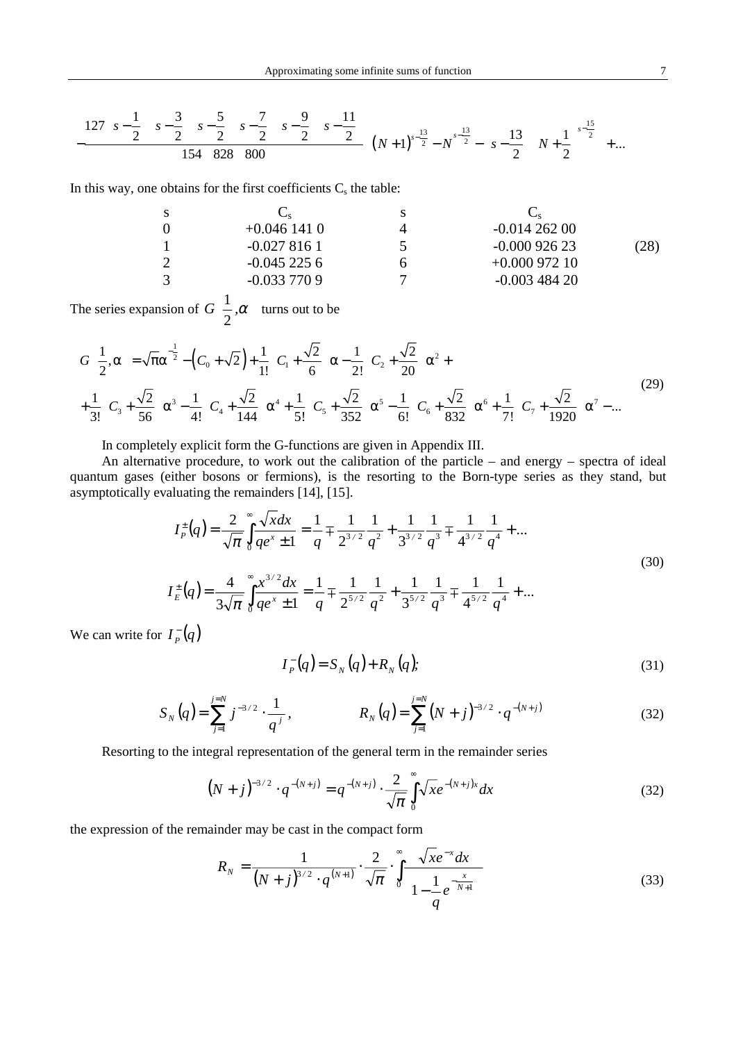$$
-\frac{127\left(s-\frac{1}{2}\right)\left(s-\frac{3}{2}\right)\left(s-\frac{5}{2}\right)\left(s-\frac{7}{2}\right)\left(s-\frac{9}{2}\right)\left(s-\frac{11}{2}\right)}{154\quad828\quad800}\left\{\left(N+1\right)^{s-\frac{13}{2}}-N^{s-\frac{13}{2}}-\left(s-\frac{13}{2}\right)\left(N+\frac{1}{2}\right)^{s-\frac{15}{2}}\right\}+...
$$

In this way, one obtains for the first coefficients  $C_s$  the table:

s Cs s Cs 0 +0.046 141 0 4 -0.014 262 00 1 -0.027 816 1 5 -0.000 926 23 2 -0.045 225 6 6 +0.000 972 10 3 -0.033 770 9 7 -0.003 484 20 (28)

The series expansion of  $G\left(\frac{1}{2}, \alpha\right)$  $\overline{1}$  $\left(\frac{1}{2},\alpha\right)$ l  $G\left(\frac{1}{2},\alpha\right)$ 2  $\left(\frac{1}{2}, \alpha\right)$  turns out to be

$$
G\left(\frac{1}{2},\alpha\right) = \sqrt{\pi}\alpha^{-\frac{1}{2}} - \left(C_0 + \sqrt{2}\right) + \frac{1}{1!} \left(C_1 + \frac{\sqrt{2}}{6}\right)\alpha - \frac{1}{2!} \left(C_2 + \frac{\sqrt{2}}{20}\right)\alpha^2 +
$$
  
+ 
$$
\frac{1}{3!} \left(C_3 + \frac{\sqrt{2}}{56}\right)\alpha^3 - \frac{1}{4!} \left(C_4 + \frac{\sqrt{2}}{144}\right)\alpha^4 + \frac{1}{5!} \left(C_5 + \frac{\sqrt{2}}{352}\right)\alpha^5 - \frac{1}{6!} \left(C_6 + \frac{\sqrt{2}}{832}\right)\alpha^6 + \frac{1}{7!} \left(C_7 + \frac{\sqrt{2}}{1920}\right)\alpha^7 - \dots
$$
 (29)

In completely explicit form the G-functions are given in Appendix III.

An alternative procedure, to work out the calibration of the particle – and energy – spectra of ideal quantum gases (either bosons or fermions), is the resorting to the Born-type series as they stand, but asymptotically evaluating the remainders [14], [15].

$$
I_P^{\pm}(q) = \frac{2}{\sqrt{\pi}} \int_0^{\infty} \frac{\sqrt{x} dx}{q e^x \pm 1} = \frac{1}{q} \mp \frac{1}{2^{3/2}} \frac{1}{q^2} + \frac{1}{3^{3/2}} \frac{1}{q^3} \mp \frac{1}{4^{3/2}} \frac{1}{q^4} + \dots
$$
  

$$
I_E^{\pm}(q) = \frac{4}{3\sqrt{\pi}} \int_0^{\infty} \frac{x^{3/2} dx}{q e^x \pm 1} = \frac{1}{q} \mp \frac{1}{2^{5/2}} \frac{1}{q^2} + \frac{1}{3^{5/2}} \frac{1}{q^3} \mp \frac{1}{4^{5/2}} \frac{1}{q^4} + \dots
$$
(30)

We can write for  $I_P^-(q)$ 

$$
I_P^-(q) = S_N(q) + R_N(q); \tag{31}
$$

$$
S_N(q) = \sum_{j=1}^{j=N} j^{-3/2} \cdot \frac{1}{q^j}, \qquad R_N(q) = \sum_{j=1}^{j=N} (N+j)^{-3/2} \cdot q^{-(N+j)} \qquad (32)
$$

Resorting to the integral representation of the general term in the remainder series

$$
(N+j)^{-3/2} \cdot q^{-(N+j)} = q^{-(N+j)} \cdot \frac{2}{\sqrt{\pi}} \int_{0}^{\infty} \sqrt{x} e^{-(N+j)x} dx
$$
 (32)

the expression of the remainder may be cast in the compact form

$$
R_N = \frac{1}{(N+j)^{3/2} \cdot q^{(N+1)}} \cdot \frac{2}{\sqrt{\pi}} \cdot \int_{0}^{\infty} \frac{\sqrt{x}e^{-x}dx}{\left(1 - \frac{1}{q}e^{-\frac{x}{N+1}}\right)}
$$
(33)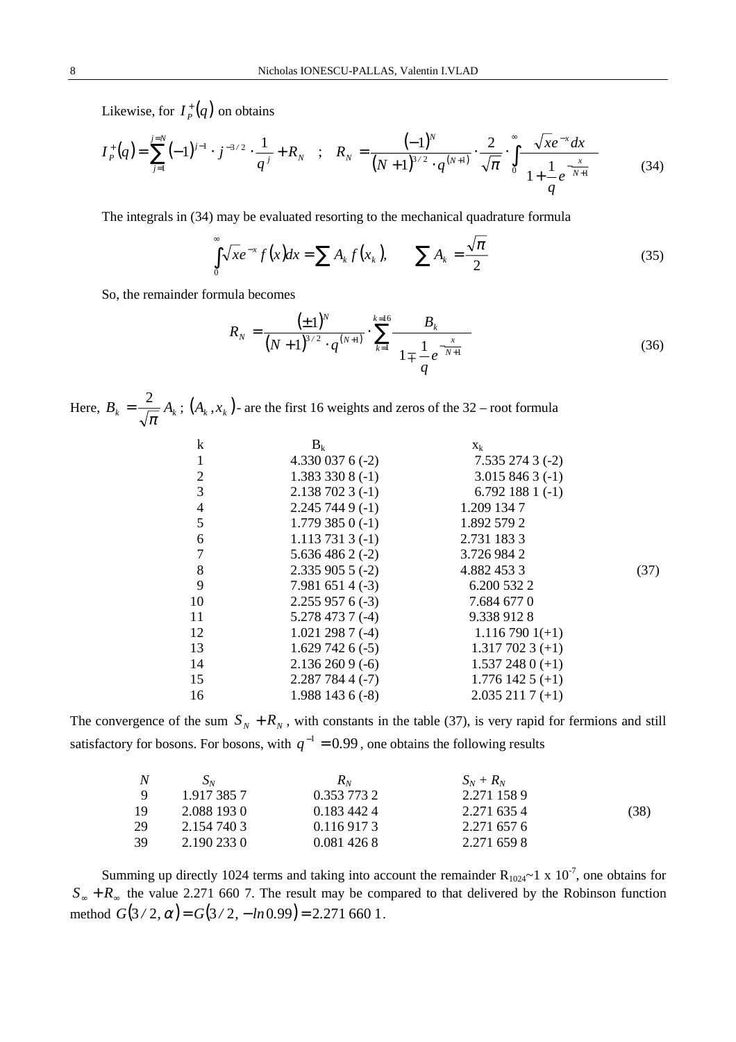Likewise, for  $I_P^+(q)$  on obtains

$$
I_P^+(q) = \sum_{j=1}^{j=N} (-1)^{j-1} \cdot j^{-3/2} \cdot \frac{1}{q^j} + R_N \quad ; \quad R_N = \frac{(-1)^N}{(N+1)^{3/2} \cdot q^{(N+1)}} \cdot \frac{2}{\sqrt{\pi}} \cdot \int_0^{\infty} \frac{\sqrt{x} e^{-x} dx}{\left(1 + \frac{1}{q} e^{-\frac{x}{N+1}}\right)}
$$
(34)

The integrals in (34) may be evaluated resorting to the mechanical quadrature formula

$$
\int_{0}^{\infty} \sqrt{x} e^{-x} f(x) dx = \sum A_k f(x_k), \qquad \sum A_k = \frac{\sqrt{\pi}}{2}
$$
 (35)

So, the remainder formula becomes

$$
R_N = \frac{\left(\pm 1\right)^N}{\left(N+1\right)^{3/2} \cdot q^{(N+1)}} \cdot \sum_{k=1}^{k=1} \frac{B_k}{\left(1 \mp \frac{1}{q} e^{-\frac{x}{N+1}}\right)}
$$
(36)

Here,  $B_k = \frac{2}{\sqrt{\pi}} A_k$ ;  $(A_k, x_k)$ - are the first 16 weights and zeros of the 32 – root formula

| k  | B <sub>k</sub>   | $x_k$            |
|----|------------------|------------------|
| 1  | 4.330 037 6 (-2) | 7.535 274 3 (-2) |
| 2  | 1.383 330 8 (-1) | 3.015 846 3 (-1) |
| 3  | 2.138 702 3 (-1) | 6.792 188 1 (-1) |
| 4  | 2.245 744 9 (-1) | 1.209 134 7      |
| 5  | 1.779 385 0 (-1) | 1.892 579 2      |
| 6  | 1.113 731 3 (-1) | 2.731 183 3      |
| 7  | 5.636 486 2 (-2) | 3.726 984 2      |
| 8  | 2.335 905 5 (-2) | 4.882 453 3      |
| 9  | 7.981 651 4 (-3) | 6.200 532 2      |
| 10 | 2.255 957 6 (-3) | 7.684 677 0      |
| 11 | 5.278 473 7 (-4) | 9.338 912 8      |
| 12 | 1.021 298 7 (-4) | 1.116 790 1 (+1) |
| 13 | 1.629 742 6 (-5) | 1.317 702 3 (+1) |
| 14 | 2.136 260 9 (-6) | 1.537 248 0 (+1) |
| 15 |                  |                  |

The convergence of the sum  $S_N + R_N$ , with constants in the table (37), is very rapid for fermions and still satisfactory for bosons. For bosons, with  $q^{-1} = 0.99$ , one obtains the following results

|    | $\mathbf{y}_N$ | $R_N$       | $S_N + R_N$ |      |
|----|----------------|-------------|-------------|------|
|    | 1.917.385.7    | 0.353 773 2 | 2.271 158 9 |      |
| 19 | 2.088 193 0    | 0.183 442 4 | 2.271 635 4 | (38) |
| 29 | 2.154 740 3    | 0.1169173   | 2.271 657 6 |      |
| 39 | 2.190 233 0    | 0.0814268   | 2.271 659 8 |      |

Summing up directly 1024 terms and taking into account the remainder  $R_{1024}$ ~1 x 10<sup>-7</sup>, one obtains for  $S_{\infty} + R_{\infty}$  the value 2.271 660 7. The result may be compared to that delivered by the Robinson function method  $G(3/2, \alpha) = G(3/2, -\ln 0.99) = 2.271\,660\,1$ .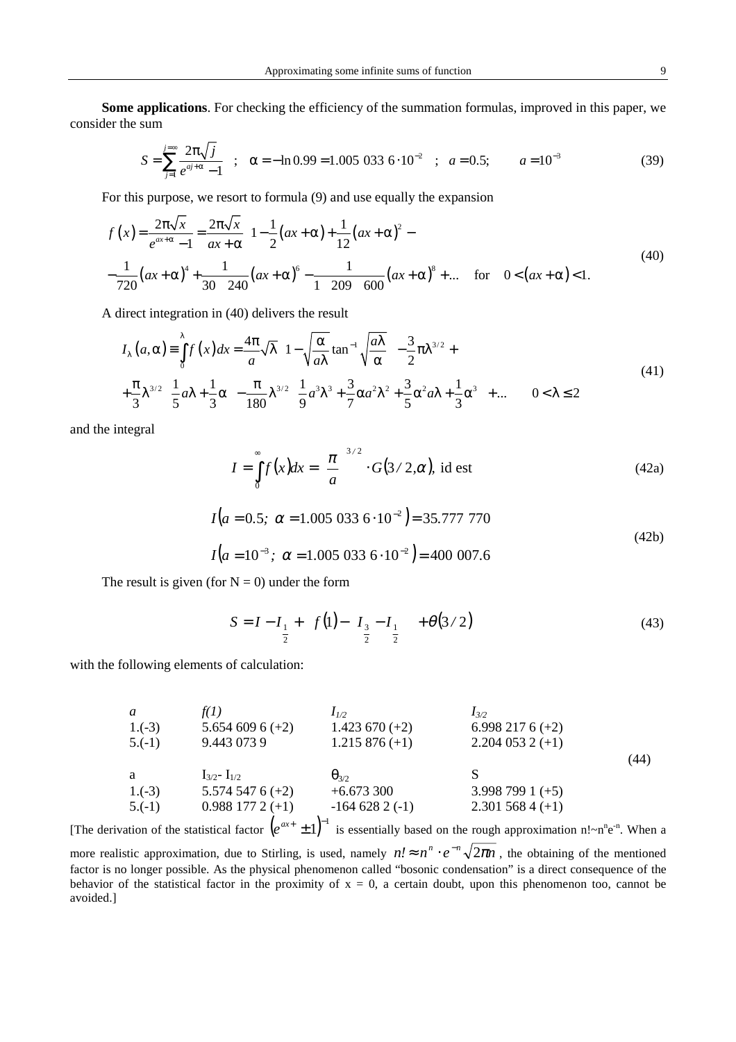**Some applications**. For checking the efficiency of the summation formulas, improved in this paper, we consider the sum

$$
S = \sum_{j=1}^{j=\infty} \frac{2\pi\sqrt{j}}{e^{aj+\alpha}-1} \quad ; \quad \alpha = -\ln 0.99 = 1.005 \, 033 \, 6 \cdot 10^{-2} \quad ; \quad a = 0.5; \qquad a = 10^{-3} \tag{39}
$$

For this purpose, we resort to formula (9) and use equally the expansion

$$
f(x) = \frac{2\pi\sqrt{x}}{e^{ax+\alpha} - 1} = \frac{2\pi\sqrt{x}}{ax + \alpha} \left\{ 1 - \frac{1}{2} (ax + \alpha) + \frac{1}{12} (ax + \alpha)^2 - \frac{1}{720} (ax + \alpha)^4 + \frac{1}{30 \cdot 240} (ax + \alpha)^6 - \frac{1}{1 \cdot 209 \cdot 600} (ax + \alpha)^8 + \dots \right\}
$$
 for  $0 < (ax + \alpha) < 1$ . (40)

A direct integration in (40) delivers the result

$$
I_{\lambda}(a,\alpha) \equiv \int_{0}^{\lambda} f(x)dx = \frac{4\pi}{a} \sqrt{\lambda} \left(1 - \sqrt{\frac{\alpha}{a\lambda}} \tan^{-1} \sqrt{\frac{a\lambda}{\alpha}}\right) - \frac{3}{2} \pi \lambda^{3/2} +
$$
  
+  $\frac{\pi}{3} \lambda^{3/2} \left(\frac{1}{5} a\lambda + \frac{1}{3} \alpha\right) - \frac{\pi}{180} \lambda^{3/2} \left(\frac{1}{9} a^{3} \lambda^{3} + \frac{3}{7} \alpha a^{2} \lambda^{2} + \frac{3}{5} \alpha^{2} a \lambda + \frac{1}{3} \alpha^{3}\right) + ... \qquad 0 < \lambda \le 2$  (41)

and the integral

$$
I = \int_{0}^{\infty} f(x)dx = \left(\frac{\pi}{a}\right)^{3/2} \cdot G(3/2, \alpha), \text{ id est } (42a)
$$

$$
I(a = 0.5; \ \alpha = 1.005 \ 033 \ 6 \cdot 10^{-2}) = 35.777 \ 770
$$
  

$$
I(a = 10^{-3}; \ \alpha = 1.005 \ 033 \ 6 \cdot 10^{-2}) = 400 \ 007.6
$$
 (42b)

The result is given (for  $N = 0$ ) under the form

$$
S = I - I_{\frac{1}{2}} + \left\{ f(1) - \left( I_{\frac{3}{2}} - I_{\frac{1}{2}} \right) \right\} + \theta(3/2)
$$
\n(43)

with the following elements of calculation:

| $a$      | $f(1)$                | $I_{1/2}$         | $I_{3/2}$          |
|----------|-----------------------|-------------------|--------------------|
| $1.(-3)$ | $5.654 609 6 (+2)$    | $1.423 670 (+2)$  | $6.998 217 6 (+2)$ |
| $5.(-1)$ | $9.443 073 9$         | $1.215 876 (+1)$  | $2.204 053 2 (+1)$ |
| $a$      | $I_{3/2}$ - $I_{1/2}$ | $\theta_{3/2}$    | S                  |
| $1.(-3)$ | $5.574 547 6 (+2)$    | $+6.673 300$      | $3.998 799 1 (+5)$ |
| $5.(-1)$ | $0.988 177 2 (+1)$    | $-164 628 2 (-1)$ | $2.301 568 4 (+1)$ |

[The derivation of the statistical factor  $(e^{ax^2} \pm 1)^{-1}$  is essentially based on the rough approximation n!~n<sup>n</sup>e<sup>-n</sup>. When a more realistic approximation, due to Stirling, is used, namely  $n' \approx n^n \cdot e^{-n} \sqrt{2\pi n}$ , the obtaining of the mentioned factor is no longer possible. As the physical phenomenon called "bosonic condensation" is a direct consequence of the behavior of the statistical factor in the proximity of  $x = 0$ , a certain doubt, upon this phenomenon too, cannot be avoided.]